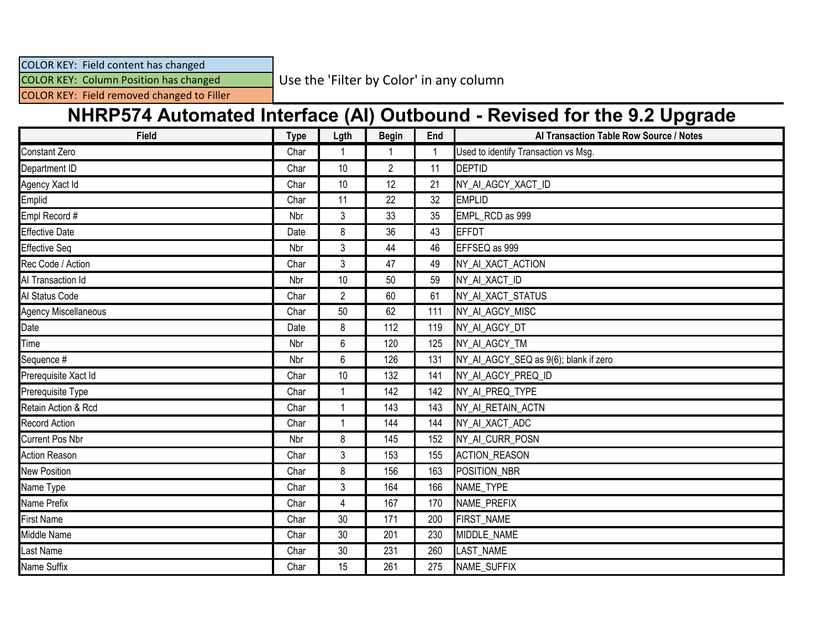## COLOR KEY: Field content has changed

COLOR KEY: Column Position has changed

Use the 'Filter by Color' in any column

COLOR KEY: Field removed changed to Filler

## **NHRP574 Automated Interface (AI) Outbound - Revised for the 9.2 Upgrade**

| <b>Field</b>           | <b>Type</b> | Lgth           | <b>Begin</b>   | End | Al Transaction Table Row Source / Notes |
|------------------------|-------------|----------------|----------------|-----|-----------------------------------------|
| <b>Constant Zero</b>   | Char        |                |                |     | Used to identify Transaction vs Msg.    |
| Department ID          | Char        | 10             | $\overline{2}$ | 11  | <b>DEPTID</b>                           |
| Agency Xact Id         | Char        | 10             | 12             | 21  | NY_AI_AGCY_XACT_ID                      |
| Emplid                 | Char        | 11             | 22             | 32  | <b>EMPLID</b>                           |
| Empl Record #          | Nbr         | 3              | 33             | 35  | EMPL_RCD as 999                         |
| <b>Effective Date</b>  | Date        | 8              | 36             | 43  | <b>EFFDT</b>                            |
| <b>Effective Seq</b>   | Nbr         | 3              | 44             | 46  | EFFSEQ as 999                           |
| Rec Code / Action      | Char        | 3              | 47             | 49  | NY_AI_XACT_ACTION                       |
| Al Transaction Id      | Nbr         | 10             | 50             | 59  | NY_AI_XACT_ID                           |
| Al Status Code         | Char        | $\mathbf{2}$   | 60             | 61  | NY_AI_XACT_STATUS                       |
| Agency Miscellaneous   | Char        | 50             | 62             | 111 | NY_AI_AGCY_MISC                         |
| Date                   | Date        | 8              | 112            | 119 | NY_AI_AGCY_DT                           |
| Time                   | Nbr         | 6              | 120            | 125 | NY AI AGCY TM                           |
| Sequence #             | Nbr         | 6              | 126            | 131 | NY_AI_AGCY_SEQ as 9(6); blank if zero   |
| Prerequisite Xact Id   | Char        | $10$           | 132            | 141 | NY_AI_AGCY_PREQ_ID                      |
| Prerequisite Type      | Char        | -1             | 142            | 142 | NY_AI_PREQ_TYPE                         |
| Retain Action & Rcd    | Char        | $\overline{1}$ | 143            | 143 | NY_AI_RETAIN_ACTN                       |
| <b>Record Action</b>   | Char        | -1             | 144            | 144 | NY_AI_XACT_ADC                          |
| <b>Current Pos Nbr</b> | Nbr         | 8              | 145            | 152 | NY_AI_CURR_POSN                         |
| <b>Action Reason</b>   | Char        | 3              | 153            | 155 | <b>ACTION_REASON</b>                    |
| <b>New Position</b>    | Char        | 8              | 156            | 163 | POSITION_NBR                            |
| Name Type              | Char        | $\sqrt{3}$     | 164            | 166 | NAME_TYPE                               |
| Name Prefix            | Char        | $\overline{4}$ | 167            | 170 | NAME_PREFIX                             |
| <b>First Name</b>      | Char        | 30             | 171            | 200 | <b>FIRST NAME</b>                       |
| Middle Name            | Char        | $30\,$         | 201            | 230 | MIDDLE_NAME                             |
| <b>Last Name</b>       | Char        | $30\,$         | 231            | 260 | LAST_NAME                               |
| Name Suffix            | Char        | 15             | 261            | 275 | NAME_SUFFIX                             |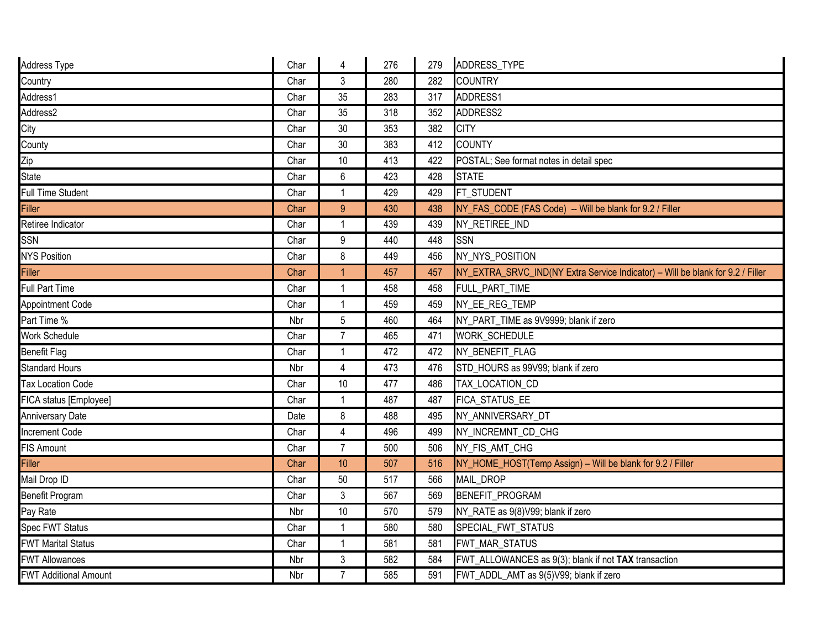| Address Type                 | Char | 4              | 276 | 279 | <b>ADDRESS TYPE</b>                                                            |
|------------------------------|------|----------------|-----|-----|--------------------------------------------------------------------------------|
| Country                      | Char | 3              | 280 | 282 | <b>COUNTRY</b>                                                                 |
| Address1                     | Char | 35             | 283 | 317 | ADDRESS1                                                                       |
| Address2                     | Char | 35             | 318 | 352 | ADDRESS2                                                                       |
| City                         | Char | 30             | 353 | 382 | <b>CITY</b>                                                                    |
| County                       | Char | 30             | 383 | 412 | <b>COUNTY</b>                                                                  |
| Zip                          | Char | 10             | 413 | 422 | POSTAL; See format notes in detail spec                                        |
| <b>State</b>                 | Char | 6              | 423 | 428 | <b>STATE</b>                                                                   |
| Full Time Student            | Char | 1              | 429 | 429 | FT STUDENT                                                                     |
| Filler                       | Char | 9              | 430 | 438 | NY_FAS_CODE (FAS Code) -- Will be blank for 9.2 / Filler                       |
| Retiree Indicator            | Char | 1              | 439 | 439 | NY_RETIREE_IND                                                                 |
| SSN                          | Char | 9              | 440 | 448 | <b>SSN</b>                                                                     |
| <b>NYS Position</b>          | Char | 8              | 449 | 456 | NY NYS POSITION                                                                |
| Filler                       | Char | $\overline{1}$ | 457 | 457 | NY_EXTRA_SRVC_IND(NY Extra Service Indicator) - Will be blank for 9.2 / Filler |
| Full Part Time               | Char | 1              | 458 | 458 | FULL_PART_TIME                                                                 |
| Appointment Code             | Char | $\mathbf{1}$   | 459 | 459 | NY_EE_REG_TEMP                                                                 |
| Part Time %                  | Nbr  | 5              | 460 | 464 | NY_PART_TIME as 9V9999; blank if zero                                          |
| Work Schedule                | Char | $\overline{7}$ | 465 | 471 | WORK_SCHEDULE                                                                  |
| <b>Benefit Flag</b>          | Char | 1              | 472 | 472 | NY_BENEFIT_FLAG                                                                |
| <b>Standard Hours</b>        | Nbr  | 4              | 473 | 476 | STD_HOURS as 99V99; blank if zero                                              |
| <b>Tax Location Code</b>     | Char | 10             | 477 | 486 | TAX_LOCATION_CD                                                                |
| FICA status [Employee]       | Char | $\mathbf{1}$   | 487 | 487 | FICA_STATUS_EE                                                                 |
| <b>Anniversary Date</b>      | Date | 8              | 488 | 495 | NY ANNIVERSARY DT                                                              |
| <b>Increment Code</b>        | Char | $\overline{4}$ | 496 | 499 | NY_INCREMNT_CD_CHG                                                             |
| FIS Amount                   | Char | $\overline{7}$ | 500 | 506 | NY_FIS_AMT_CHG                                                                 |
| <b>Filler</b>                | Char | 10             | 507 | 516 | NY_HOME_HOST(Temp Assign) - Will be blank for 9.2 / Filler                     |
| Mail Drop ID                 | Char | 50             | 517 | 566 | <b>MAIL DROP</b>                                                               |
| Benefit Program              | Char | $\sqrt{3}$     | 567 | 569 | BENEFIT_PROGRAM                                                                |
| Pay Rate                     | Nbr  | 10             | 570 | 579 | NY_RATE as 9(8)V99; blank if zero                                              |
| Spec FWT Status              | Char | 1              | 580 | 580 | SPECIAL_FWT_STATUS                                                             |
| <b>FWT Marital Status</b>    | Char | 1              | 581 | 581 | FWT_MAR_STATUS                                                                 |
| <b>FWT Allowances</b>        | Nbr  | $\sqrt{3}$     | 582 | 584 | FWT_ALLOWANCES as 9(3); blank if not TAX transaction                           |
| <b>FWT Additional Amount</b> | Nbr  | $\overline{7}$ | 585 | 591 | FWT_ADDL_AMT as 9(5)V99; blank if zero                                         |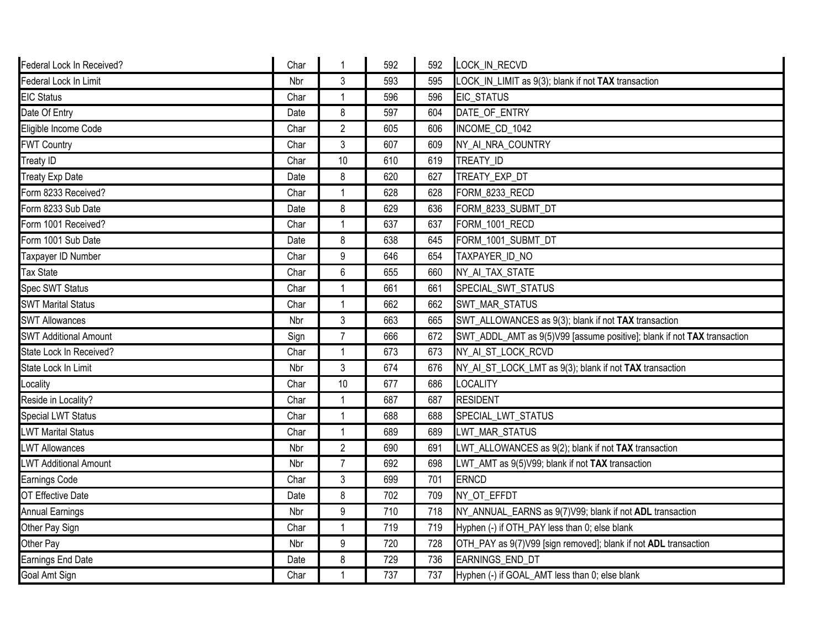| Federal Lock In Received?    | Char |                  | 592 | 592 | LOCK_IN_RECVD                                                           |
|------------------------------|------|------------------|-----|-----|-------------------------------------------------------------------------|
| Federal Lock In Limit        | Nbr  | 3                | 593 | 595 | LOCK_IN_LIMIT as 9(3); blank if not TAX transaction                     |
| <b>EIC Status</b>            | Char |                  | 596 | 596 | <b>EIC_STATUS</b>                                                       |
| Date Of Entry                | Date | 8                | 597 | 604 | DATE_OF_ENTRY                                                           |
| Eligible Income Code         | Char | $\overline{2}$   | 605 | 606 | INCOME_CD_1042                                                          |
| <b>FWT Country</b>           | Char | 3                | 607 | 609 | NY_AI_NRA_COUNTRY                                                       |
| <b>Treaty ID</b>             | Char | 10               | 610 | 619 | TREATY ID                                                               |
| <b>Treaty Exp Date</b>       | Date | 8                | 620 | 627 | TREATY_EXP_DT                                                           |
| Form 8233 Received?          | Char |                  | 628 | 628 | FORM_8233_RECD                                                          |
| Form 8233 Sub Date           | Date | 8                | 629 | 636 | FORM 8233 SUBMT DT                                                      |
| Form 1001 Received?          | Char |                  | 637 | 637 | FORM_1001_RECD                                                          |
| Form 1001 Sub Date           | Date | 8                | 638 | 645 | FORM 1001 SUBMT DT                                                      |
| Taxpayer ID Number           | Char | $\boldsymbol{9}$ | 646 | 654 | TAXPAYER_ID_NO                                                          |
| <b>Tax State</b>             | Char | $6\phantom{1}$   | 655 | 660 | NY_AI_TAX_STATE                                                         |
| Spec SWT Status              | Char |                  | 661 | 661 | SPECIAL_SWT_STATUS                                                      |
| <b>SWT Marital Status</b>    | Char | $\overline{1}$   | 662 | 662 | SWT_MAR_STATUS                                                          |
| <b>SWT Allowances</b>        | Nbr  | 3                | 663 | 665 | SWT_ALLOWANCES as 9(3); blank if not TAX transaction                    |
| <b>SWT Additional Amount</b> | Sign | $\overline{7}$   | 666 | 672 | SWT_ADDL_AMT as 9(5)V99 [assume positive]; blank if not TAX transaction |
| State Lock In Received?      | Char |                  | 673 | 673 | NY_AI_ST_LOCK_RCVD                                                      |
| State Lock In Limit          | Nbr  | $\mathfrak{Z}$   | 674 | 676 | NY_AI_ST_LOCK_LMT as 9(3); blank if not TAX transaction                 |
| Locality                     | Char | 10               | 677 | 686 | <b>LOCALITY</b>                                                         |
| Reside in Locality?          | Char |                  | 687 | 687 | <b>RESIDENT</b>                                                         |
| Special LWT Status           | Char | $\overline{1}$   | 688 | 688 | SPECIAL LWT STATUS                                                      |
| <b>LWT Marital Status</b>    | Char |                  | 689 | 689 | LWT_MAR_STATUS                                                          |
| <b>LWT Allowances</b>        | Nbr  | $\overline{2}$   | 690 | 691 | LWT_ALLOWANCES as 9(2); blank if not TAX transaction                    |
| <b>LWT Additional Amount</b> | Nbr  | $\overline{7}$   | 692 | 698 | LWT_AMT as 9(5)V99; blank if not TAX transaction                        |
| Earnings Code                | Char | 3                | 699 | 701 | ERNCD                                                                   |
| OT Effective Date            | Date | 8                | 702 | 709 | NY_OT_EFFDT                                                             |
| <b>Annual Earnings</b>       | Nbr  | 9                | 710 | 718 | NY_ANNUAL_EARNS as 9(7)V99; blank if not ADL transaction                |
| Other Pay Sign               | Char |                  | 719 | 719 | Hyphen (-) if OTH_PAY less than 0; else blank                           |
| Other Pay                    | Nbr  | 9                | 720 | 728 | OTH_PAY as 9(7)V99 [sign removed]; blank if not ADL transaction         |
| Earnings End Date            | Date | 8                | 729 | 736 | EARNINGS_END_DT                                                         |
| Goal Amt Sign                | Char | 1                | 737 | 737 | Hyphen (-) if GOAL_AMT less than 0; else blank                          |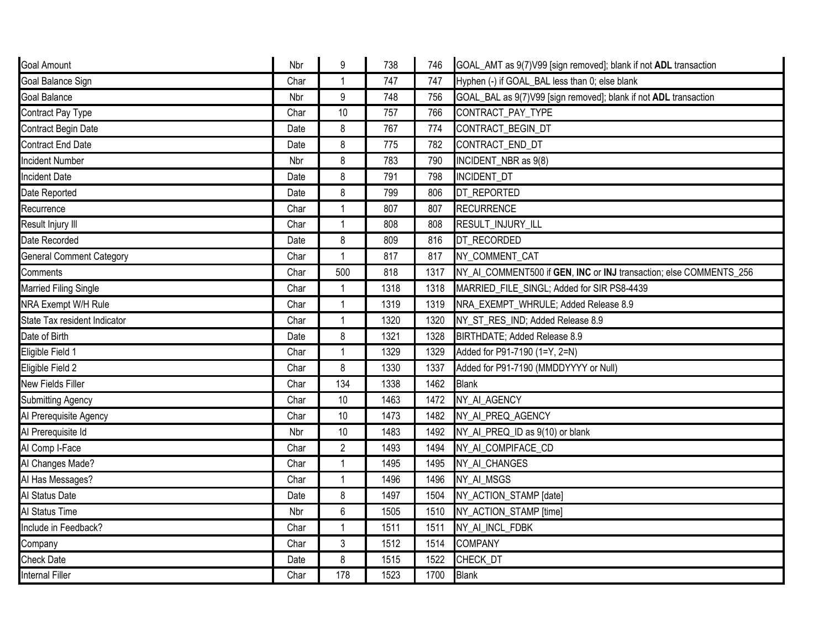| <b>Goal Amount</b>              | Nbr  | 9              | 738  | 746  | GOAL_AMT as 9(7)V99 [sign removed]; blank if not ADL transaction   |
|---------------------------------|------|----------------|------|------|--------------------------------------------------------------------|
| Goal Balance Sign               | Char | $\overline{1}$ | 747  | 747  | Hyphen (-) if GOAL_BAL less than 0; else blank                     |
| Goal Balance                    | Nbr  | 9              | 748  | 756  | GOAL_BAL as 9(7)V99 [sign removed]; blank if not ADL transaction   |
| Contract Pay Type               | Char | 10             | 757  | 766  | CONTRACT_PAY_TYPE                                                  |
| Contract Begin Date             | Date | 8              | 767  | 774  | CONTRACT_BEGIN_DT                                                  |
| Contract End Date               | Date | 8              | 775  | 782  | CONTRACT END DT                                                    |
| <b>Incident Number</b>          | Nbr  | 8              | 783  | 790  | INCIDENT_NBR as 9(8)                                               |
| <b>Incident Date</b>            | Date | 8              | 791  | 798  | <b>INCIDENT DT</b>                                                 |
| Date Reported                   | Date | 8              | 799  | 806  | DT_REPORTED                                                        |
| Recurrence                      | Char | $\mathbf{1}$   | 807  | 807  | <b>RECURRENCE</b>                                                  |
| Result Injury III               | Char | $\mathbf{1}$   | 808  | 808  | RESULT_INJURY_ILL                                                  |
| Date Recorded                   | Date | 8              | 809  | 816  | DT_RECORDED                                                        |
| <b>General Comment Category</b> | Char | 1              | 817  | 817  | NY_COMMENT_CAT                                                     |
| Comments                        | Char | 500            | 818  | 1317 | NY_AI_COMMENT500 if GEN, INC or INJ transaction; else COMMENTS_256 |
| <b>Married Filing Single</b>    | Char |                | 1318 | 1318 | MARRIED FILE SINGL; Added for SIR PS8-4439                         |
| NRA Exempt W/H Rule             | Char | -1             | 1319 | 1319 | NRA_EXEMPT_WHRULE; Added Release 8.9                               |
| State Tax resident Indicator    | Char | $\mathbf{1}$   | 1320 | 1320 | NY_ST_RES_IND; Added Release 8.9                                   |
| Date of Birth                   | Date | 8              | 1321 | 1328 | BIRTHDATE; Added Release 8.9                                       |
| Eligible Field 1                | Char |                | 1329 | 1329 | Added for P91-7190 (1=Y, 2=N)                                      |
| Eligible Field 2                | Char | 8              | 1330 | 1337 | Added for P91-7190 (MMDDYYYY or Null)                              |
| New Fields Filler               | Char | 134            | 1338 | 1462 | <b>Blank</b>                                                       |
| <b>Submitting Agency</b>        | Char | 10             | 1463 | 1472 | NY AI AGENCY                                                       |
| Al Prerequisite Agency          | Char | 10             | 1473 | 1482 | NY_AI_PREQ_AGENCY                                                  |
| Al Prerequisite Id              | Nbr  | 10             | 1483 | 1492 | NY AI PREQ ID as 9(10) or blank                                    |
| Al Comp I-Face                  | Char | $\overline{2}$ | 1493 | 1494 | NY_AI_COMPIFACE_CD                                                 |
| Al Changes Made?                | Char | $\mathbf 1$    | 1495 | 1495 | NY_AI_CHANGES                                                      |
| Al Has Messages?                | Char | $\mathbf{1}$   | 1496 | 1496 | NY_AI_MSGS                                                         |
| Al Status Date                  | Date | 8              | 1497 | 1504 | NY_ACTION_STAMP [date]                                             |
| Al Status Time                  | Nbr  | $6\phantom{1}$ | 1505 | 1510 | NY_ACTION_STAMP [time]                                             |
| Include in Feedback?            | Char | 1              | 1511 | 1511 | NY_AI_INCL_FDBK                                                    |
| Company                         | Char | 3              | 1512 | 1514 | <b>COMPANY</b>                                                     |
| <b>Check Date</b>               | Date | 8              | 1515 | 1522 | CHECK_DT                                                           |
| <b>Internal Filler</b>          | Char | 178            | 1523 | 1700 | <b>Blank</b>                                                       |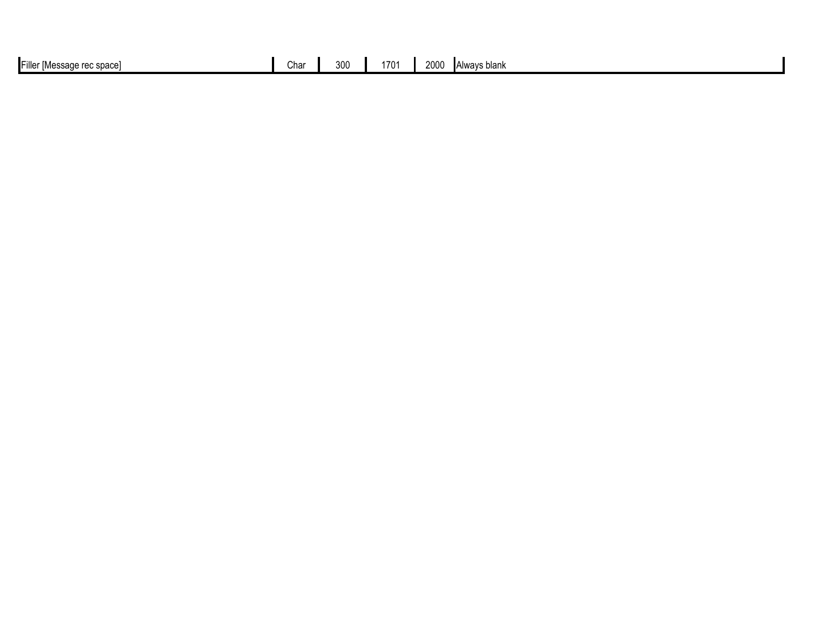| .<br>e rec space<br>- ∎Eiller<br>nn<br>,,,,,,,<br>י טווי.<br>шлааада | Char | 300 | $\rightarrow$<br>70°<br>. . | 2000<br>∎Alwavs blank |
|----------------------------------------------------------------------|------|-----|-----------------------------|-----------------------|
|                                                                      |      |     |                             |                       |